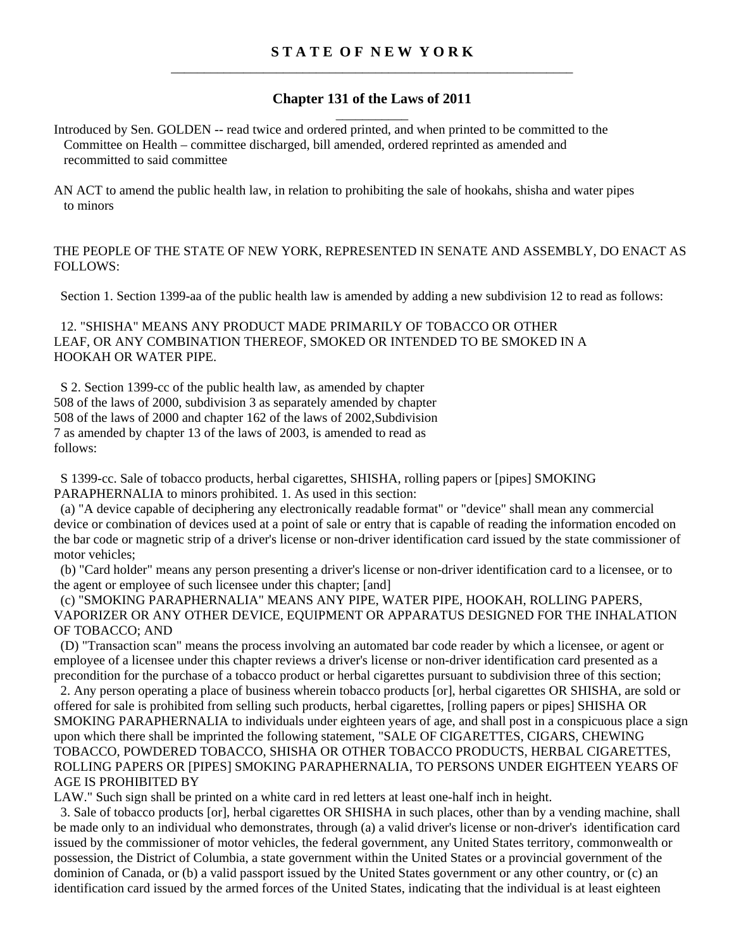## **Chapter 131 of the Laws of 2011**  \_\_\_\_\_\_\_\_\_\_\_

Introduced by Sen. GOLDEN -- read twice and ordered printed, and when printed to be committed to the Committee on Health – committee discharged, bill amended, ordered reprinted as amended and recommitted to said committee

AN ACT to amend the public health law, in relation to prohibiting the sale of hookahs, shisha and water pipes to minors

## THE PEOPLE OF THE STATE OF NEW YORK, REPRESENTED IN SENATE AND ASSEMBLY, DO ENACT AS FOLLOWS:

Section 1. Section 1399-aa of the public health law is amended by adding a new subdivision 12 to read as follows:

 12. "SHISHA" MEANS ANY PRODUCT MADE PRIMARILY OF TOBACCO OR OTHER LEAF, OR ANY COMBINATION THEREOF, SMOKED OR INTENDED TO BE SMOKED IN A HOOKAH OR WATER PIPE.

 S 2. Section 1399-cc of the public health law, as amended by chapter 508 of the laws of 2000, subdivision 3 as separately amended by chapter 508 of the laws of 2000 and chapter 162 of the laws of 2002,Subdivision 7 as amended by chapter 13 of the laws of 2003, is amended to read as follows:

 S 1399-cc. Sale of tobacco products, herbal cigarettes, SHISHA, rolling papers or [pipes] SMOKING PARAPHERNALIA to minors prohibited. 1. As used in this section:

 (a) "A device capable of deciphering any electronically readable format" or "device" shall mean any commercial device or combination of devices used at a point of sale or entry that is capable of reading the information encoded on the bar code or magnetic strip of a driver's license or non-driver identification card issued by the state commissioner of motor vehicles;

 (b) "Card holder" means any person presenting a driver's license or non-driver identification card to a licensee, or to the agent or employee of such licensee under this chapter; [and]

 (c) "SMOKING PARAPHERNALIA" MEANS ANY PIPE, WATER PIPE, HOOKAH, ROLLING PAPERS, VAPORIZER OR ANY OTHER DEVICE, EQUIPMENT OR APPARATUS DESIGNED FOR THE INHALATION OF TOBACCO; AND

 (D) "Transaction scan" means the process involving an automated bar code reader by which a licensee, or agent or employee of a licensee under this chapter reviews a driver's license or non-driver identification card presented as a precondition for the purchase of a tobacco product or herbal cigarettes pursuant to subdivision three of this section;

 2. Any person operating a place of business wherein tobacco products [or], herbal cigarettes OR SHISHA, are sold or offered for sale is prohibited from selling such products, herbal cigarettes, [rolling papers or pipes] SHISHA OR SMOKING PARAPHERNALIA to individuals under eighteen years of age, and shall post in a conspicuous place a sign upon which there shall be imprinted the following statement, "SALE OF CIGARETTES, CIGARS, CHEWING TOBACCO, POWDERED TOBACCO, SHISHA OR OTHER TOBACCO PRODUCTS, HERBAL CIGARETTES, ROLLING PAPERS OR [PIPES] SMOKING PARAPHERNALIA, TO PERSONS UNDER EIGHTEEN YEARS OF AGE IS PROHIBITED BY

LAW." Such sign shall be printed on a white card in red letters at least one-half inch in height.

 3. Sale of tobacco products [or], herbal cigarettes OR SHISHA in such places, other than by a vending machine, shall be made only to an individual who demonstrates, through (a) a valid driver's license or non-driver's identification card issued by the commissioner of motor vehicles, the federal government, any United States territory, commonwealth or possession, the District of Columbia, a state government within the United States or a provincial government of the dominion of Canada, or (b) a valid passport issued by the United States government or any other country, or (c) an identification card issued by the armed forces of the United States, indicating that the individual is at least eighteen